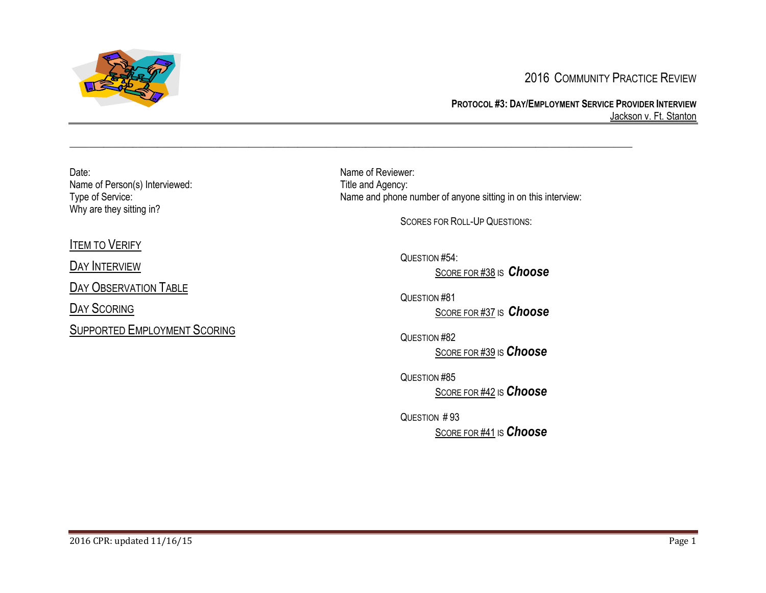

# 2016 COMMUNITY PRACTICE REVIEW

### **PROTOCOL #3: DAY/EMPLOYMENT SERVICE PROVIDER INTERVIEW** Jackson v. Ft. Stanton

Date: Name of Reviewer: Name of Person(s) Interviewed:<br>
Type of Service:<br>
Type of Service:<br>
Type of Service: Why are they sitting in?

Name and phone number of anyone sitting in on this interview:

SCORES FOR ROLL-UP QUESTIONS:

# **I[TEM TO](#page-2-0) VERIFY**

DAY I[NTERVIEW](#page-2-1)

DAY O[BSERVATION](#page-17-0) TABLE

DAY S[CORING](#page-18-0)

SUPPORTED E[MPLOYMENT](#page-21-0) SCORING

QUESTION #54:

 $\_$  ,  $\_$  ,  $\_$  ,  $\_$  ,  $\_$  ,  $\_$  ,  $\_$  ,  $\_$  ,  $\_$  ,  $\_$  ,  $\_$  ,  $\_$  ,  $\_$  ,  $\_$  ,  $\_$  ,  $\_$  ,  $\_$  ,  $\_$  ,  $\_$  ,  $\_$  ,  $\_$  ,  $\_$  ,  $\_$  ,  $\_$  ,  $\_$  ,  $\_$  ,  $\_$  ,  $\_$  ,  $\_$  ,  $\_$  ,  $\_$  ,  $\_$  ,  $\_$  ,  $\_$  ,  $\_$  ,  $\_$  ,  $\_$  ,

S[CORE FOR](#page-19-0) #38 IS *[Choose](#page-19-0)*

QUESTION #81 S[CORE FOR](#page-18-1) #37 IS *[Choose](#page-18-1)*

QUESTION #82 S[CORE FOR](#page-19-1) #39 IS*[Choose](#page-19-1)*

QUESTION #85 S[CORE FOR](#page-21-1) #42 IS*[Choose](#page-21-1)*

QUESTION # 93 S[CORE FOR](#page-20-0) #41 IS*[Choose](#page-20-0)*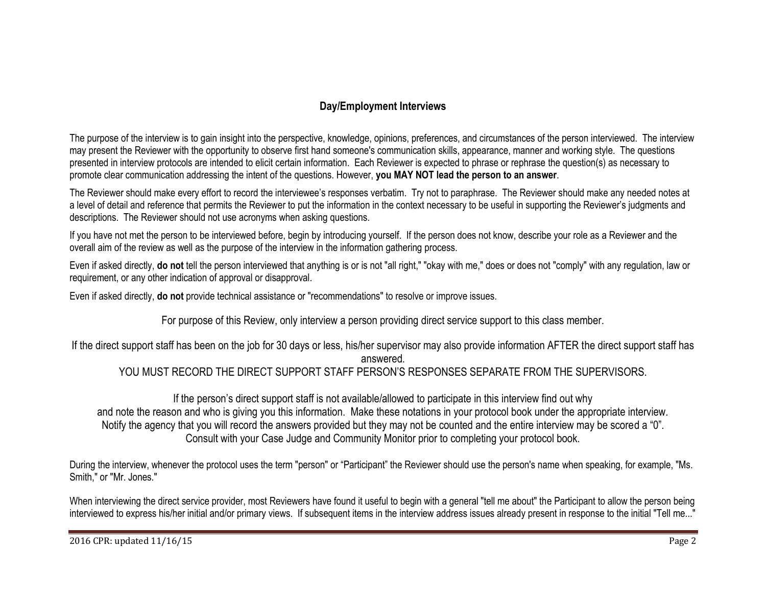# **Day/Employment Interviews**

The purpose of the interview is to gain insight into the perspective, knowledge, opinions, preferences, and circumstances of the person interviewed. The interview may present the Reviewer with the opportunity to observe first hand someone's communication skills, appearance, manner and working style. The questions presented in interview protocols are intended to elicit certain information. Each Reviewer is expected to phrase or rephrase the question(s) as necessary to promote clear communication addressing the intent of the questions. However, **you MAY NOT lead the person to an answer**.

The Reviewer should make every effort to record the interviewee's responses verbatim. Try not to paraphrase. The Reviewer should make any needed notes at a level of detail and reference that permits the Reviewer to put the information in the context necessary to be useful in supporting the Reviewer's judgments and descriptions. The Reviewer should not use acronyms when asking questions.

If you have not met the person to be interviewed before, begin by introducing yourself. If the person does not know, describe your role as a Reviewer and the overall aim of the review as well as the purpose of the interview in the information gathering process.

Even if asked directly, **do not** tell the person interviewed that anything is or is not "all right," "okay with me," does or does not "comply" with any regulation, law or requirement, or any other indication of approval or disapproval.

Even if asked directly, **do not** provide technical assistance or "recommendations" to resolve or improve issues.

For purpose of this Review, only interview a person providing direct service support to this class member.

If the direct support staff has been on the job for 30 days or less, his/her supervisor may also provide information AFTER the direct support staff has

answered.

YOU MUST RECORD THE DIRECT SUPPORT STAFF PERSON'S RESPONSES SEPARATE FROM THE SUPERVISORS.

If the person's direct support staff is not available/allowed to participate in this interview find out why and note the reason and who is giving you this information. Make these notations in your protocol book under the appropriate interview. Notify the agency that you will record the answers provided but they may not be counted and the entire interview may be scored a "0". Consult with your Case Judge and Community Monitor prior to completing your protocol book.

During the interview, whenever the protocol uses the term "person" or "Participant" the Reviewer should use the person's name when speaking, for example, "Ms. Smith," or "Mr. Jones."

When interviewing the direct service provider, most Reviewers have found it useful to begin with a general "tell me about" the Participant to allow the person being interviewed to express his/her initial and/or primary views. If subsequent items in the interview address issues already present in response to the initial "Tell me..."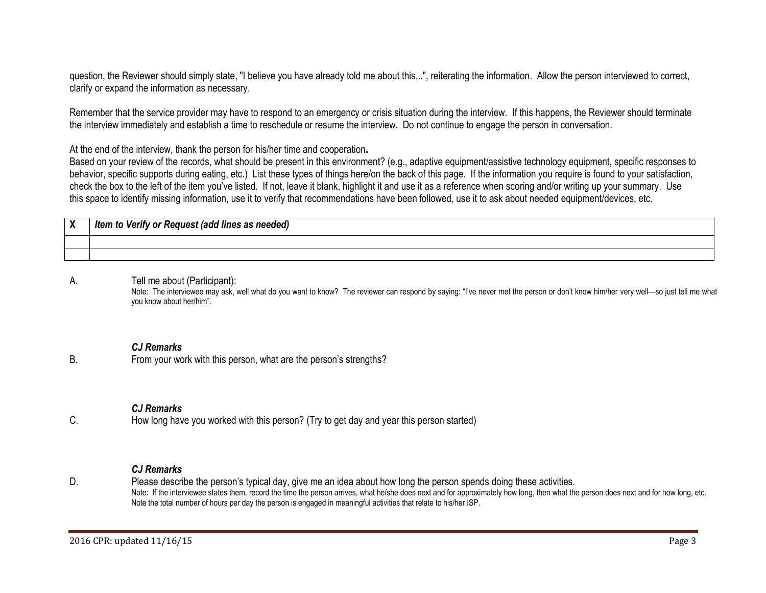question, the Reviewer should simply state, "I believe you have already told me about this...", reiterating the information. Allow the person interviewed to correct, clarify or expand the information as necessary.

Remember that the service provider may have to respond to an emergency or crisis situation during the interview. If this happens, the Reviewer should terminate the interview immediately and establish a time to reschedule or resume the interview. Do not continue to engage the person in conversation.

At the end of the interview, thank the person for his/her time and cooperation**.**

Based on your review of the records, what should be present in this environment? (e.g., adaptive equipment/assistive technology equipment, specific responses to behavior, specific supports during eating, etc.) List these types of things here/on the back of this page. If the information you require is found to your satisfaction, check the box to the left of the item you've listed. If not, leave it blank, highlight it and use it as a reference when scoring and/or writing up your summary. Use this space to identify missing information, use it to verify that recommendations have been followed, use it to ask about needed equipment/devices, etc.

<span id="page-2-0"></span>

| v<br>$\boldsymbol{\mathsf{\Lambda}}$ | Verify or Request (add lines as needed)<br>Item to |
|--------------------------------------|----------------------------------------------------|
|                                      |                                                    |
|                                      |                                                    |

#### A. Tell me about (Participant):

<span id="page-2-1"></span>Note: The interviewee may ask, well what do you want to know? The reviewer can respond by saying: "I've never met the person or don't know him/her very well—so just tell me what you know about her/him".

#### *CJ Remarks*

B. From your work with this person, what are the person's strengths?

## *CJ Remarks*

C. How long have you worked with this person? (Try to get day and year this person started)

#### *CJ Remarks*

D. Please describe the person's typical day, give me an idea about how long the person spends doing these activities. Note: If the interviewee states them, record the time the person arrives, what he/she does next and for approximately how long, then what the person does next and for how long, etc. Note the total number of hours per day the person is engaged in meaningful activities that relate to his/her ISP.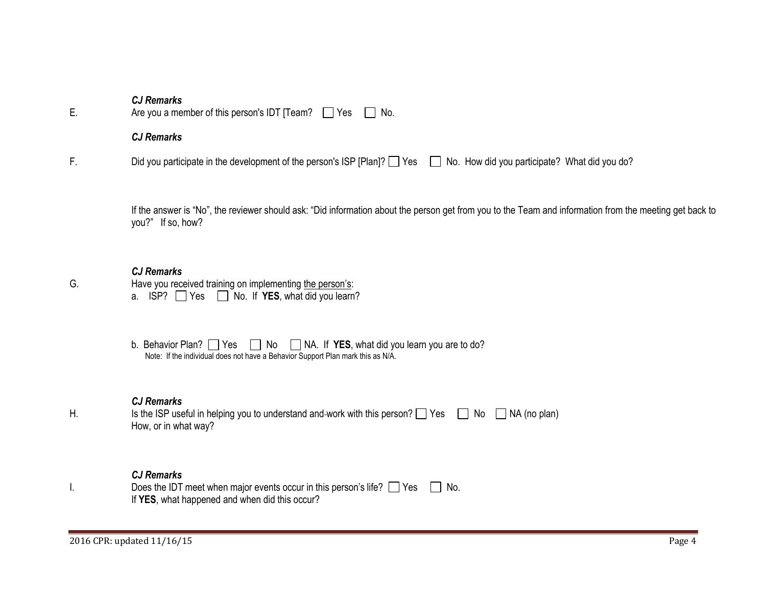| E. | <b>CJ Remarks</b><br>Are you a member of this person's IDT [Team? $\Box$ Yes<br>No.                                                                                            |
|----|--------------------------------------------------------------------------------------------------------------------------------------------------------------------------------|
|    | <b>CJ Remarks</b>                                                                                                                                                              |
| F. | Did you participate in the development of the person's ISP [Plan]? Yes No. How did you participate? What did you do?                                                           |
|    | If the answer is "No", the reviewer should ask: "Did information about the person get from you to the Team and information from the meeting get back to<br>you?" If so, how?   |
| G. | <b>CJ Remarks</b><br>Have you received training on implementing the person's:<br>a. $ISP?$ Yes $\Box$ No. If YES, what did you learn?                                          |
|    | b. Behavior Plan? $\Box$ Yes $\Box$ No $\Box$ NA. If YES, what did you learn you are to do?<br>Note: If the individual does not have a Behavior Support Plan mark this as N/A. |
| Н. | <b>CJ Remarks</b><br>Is the ISP useful in helping you to understand and-work with this person? $\Box$ Yes<br>$\Box$ NA (no plan)<br>No<br>How, or in what way?                 |

| Does the IDT meet when major events occur in this person's life? $\Box$ Yes $\Box$ No. |  |
|----------------------------------------------------------------------------------------|--|
| If YES, what happened and when did this occur?                                         |  |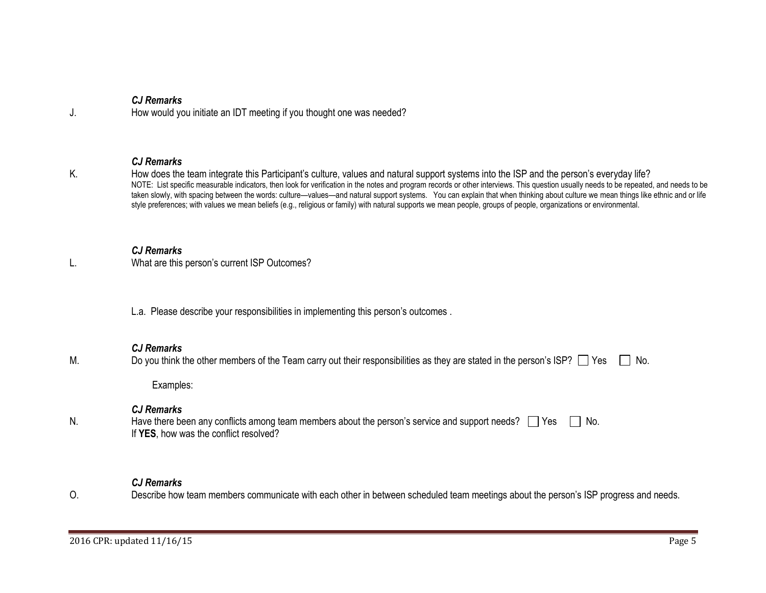| J. | <b>CJ Remarks</b><br>How would you initiate an IDT meeting if you thought one was needed?                                                                                                                                                                                                                                                                                                                                                                                                                                                                                                                                                                                                                          |
|----|--------------------------------------------------------------------------------------------------------------------------------------------------------------------------------------------------------------------------------------------------------------------------------------------------------------------------------------------------------------------------------------------------------------------------------------------------------------------------------------------------------------------------------------------------------------------------------------------------------------------------------------------------------------------------------------------------------------------|
| Κ. | <b>CJ Remarks</b><br>How does the team integrate this Participant's culture, values and natural support systems into the ISP and the person's everyday life?<br>NOTE: List specific measurable indicators, then look for verification in the notes and program records or other interviews. This question usually needs to be repeated, and needs to be<br>taken slowly, with spacing between the words: culture—values—and natural support systems. You can explain that when thinking about culture we mean things like ethnic and or life<br>style preferences; with values we mean beliefs (e.g., religious or family) with natural supports we mean people, groups of people, organizations or environmental. |
|    | <b>CJ Remarks</b><br>What are this person's current ISP Outcomes?                                                                                                                                                                                                                                                                                                                                                                                                                                                                                                                                                                                                                                                  |
|    | L.a. Please describe your responsibilities in implementing this person's outcomes.                                                                                                                                                                                                                                                                                                                                                                                                                                                                                                                                                                                                                                 |
| М. | <b>CJ Remarks</b><br>Do you think the other members of the Team carry out their responsibilities as they are stated in the person's ISP? □ Yes<br>No.<br>Examples:                                                                                                                                                                                                                                                                                                                                                                                                                                                                                                                                                 |
| N. | <b>CJ Remarks</b><br>Have there been any conflicts among team members about the person's service and support needs? $\Box$ Yes<br>No.<br>If YES, how was the conflict resolved?                                                                                                                                                                                                                                                                                                                                                                                                                                                                                                                                    |
| O. | <b>CJ Remarks</b><br>Describe how team members communicate with each other in between scheduled team meetings about the person's ISP progress and needs.                                                                                                                                                                                                                                                                                                                                                                                                                                                                                                                                                           |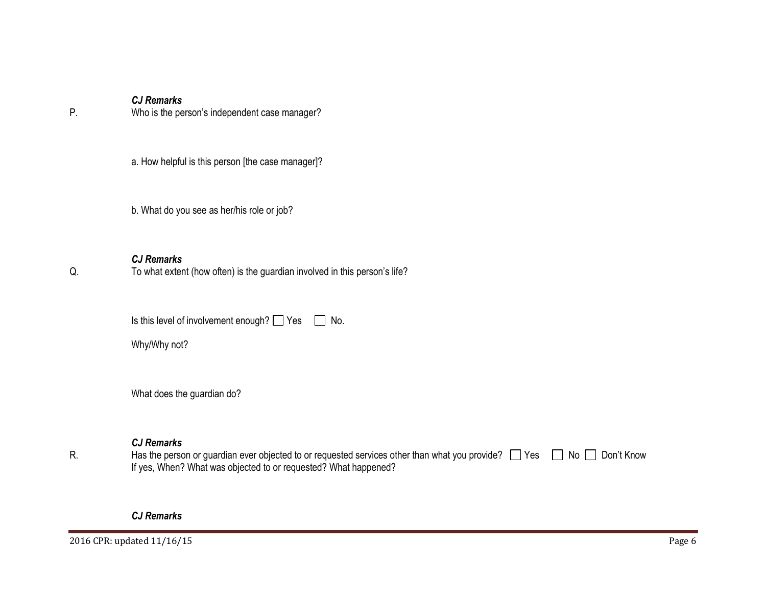P. Who is the person's independent case manager?

a. How helpful is this person [the case manager]?

b. What do you see as her/his role or job?

## *CJ Remarks*

Q. To what extent (how often) is the guardian involved in this person's life?

Is this level of involvement enough?  $\Box$  Yes  $\Box$  No.

Why/Why not?

What does the guardian do?

# *CJ Remarks*

R. Has the person or guardian ever objected to or requested services other than what you provide?  $\Box$  Yes  $\Box$  No  $\Box$  Don't Know If yes, When? What was objected to or requested? What happened?

#### *CJ Remarks*

2016 CPR: updated 11/16/15 Page 6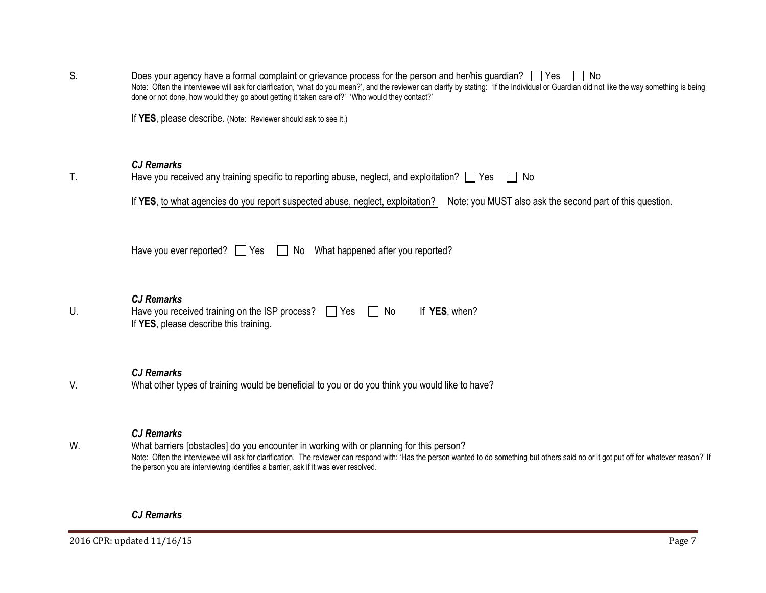| S. | Does your agency have a formal complaint or grievance process for the person and her/his guardian? $\Box$ Yes<br>No<br>Note: Often the interviewee will ask for clarification, 'what do you mean?', and the reviewer can clarify by stating: 'If the Individual or Guardian did not like the way something is being<br>done or not done, how would they go about getting it taken care of?' 'Who would they contact?' |
|----|-----------------------------------------------------------------------------------------------------------------------------------------------------------------------------------------------------------------------------------------------------------------------------------------------------------------------------------------------------------------------------------------------------------------------|
|    | If YES, please describe. (Note: Reviewer should ask to see it.)                                                                                                                                                                                                                                                                                                                                                       |
| T. | <b>CJ Remarks</b><br>Have you received any training specific to reporting abuse, neglect, and exploitation? $\Box$ Yes<br>$\vert$   No                                                                                                                                                                                                                                                                                |
|    | If YES, to what agencies do you report suspected abuse, neglect, exploitation? Note: you MUST also ask the second part of this question.                                                                                                                                                                                                                                                                              |
|    | Have you ever reported? $\Box$ Yes $\Box$ No What happened after you reported?                                                                                                                                                                                                                                                                                                                                        |
| U. | <b>CJ Remarks</b><br>Have you received training on the ISP process? $\Box$ Yes<br>If YES, when?<br>No<br>If YES, please describe this training.                                                                                                                                                                                                                                                                       |
| V. | <b>CJ Remarks</b><br>What other types of training would be beneficial to you or do you think you would like to have?                                                                                                                                                                                                                                                                                                  |
| W. | <b>CJ Remarks</b><br>What barriers [obstacles] do you encounter in working with or planning for this person?<br>Note: Often the interviewee will ask for clarification. The reviewer can respond with: 'Has the person wanted to do something but others said no or it got put off for whatever reason?' If<br>the person you are interviewing identifies a barrier, ask if it was ever resolved.                     |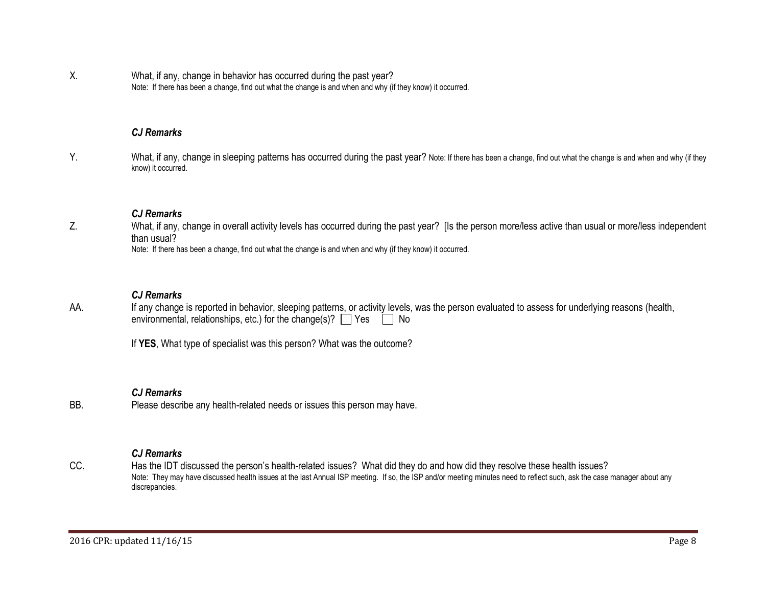X. What, if any, change in behavior has occurred during the past year? Note: If there has been a change, find out what the change is and when and why (if they know) it occurred.

#### *CJ Remarks*

Y. What, if any, change in sleeping patterns has occurred during the past year? Note: If there has been a change, find out what the change is and when and why (if they know) it occurred.

#### *CJ Remarks*

Z. What, if any, change in overall activity levels has occurred during the past year? [Is the person more/less active than usual or more/less independent than usual?

Note: If there has been a change, find out what the change is and when and why (if they know) it occurred.

#### *CJ Remarks*

AA. If any change is reported in behavior, sleeping patterns, or activity levels, was the person evaluated to assess for underlying reasons (health, environmental, relationships, etc.) for the change(s)?  $\Box$  Yes  $\Box$  No

If **YES**, What type of specialist was this person? What was the outcome?

#### *CJ Remarks*

BB. Please describe any health-related needs or issues this person may have.

#### *CJ Remarks*

CC. Has the IDT discussed the person's health-related issues? What did they do and how did they resolve these health issues? Note: They may have discussed health issues at the last Annual ISP meeting. If so, the ISP and/or meeting minutes need to reflect such, ask the case manager about any discrepancies.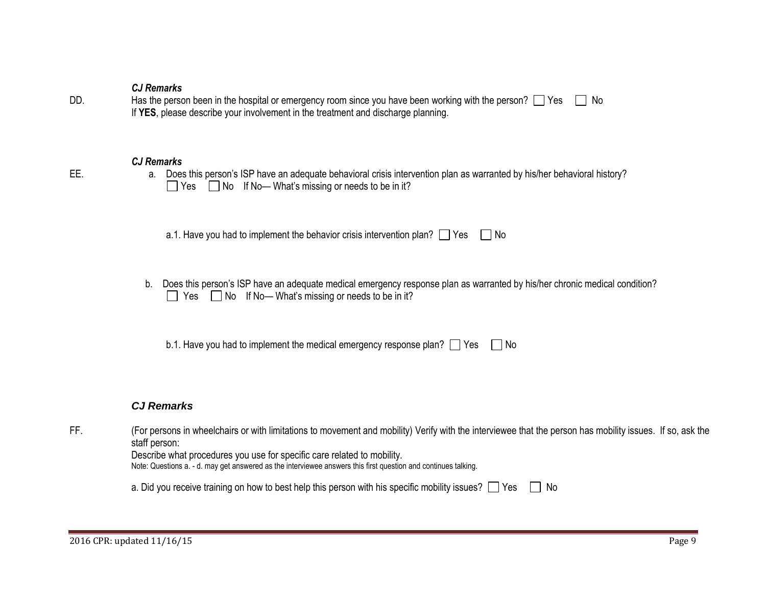| DD. | Has the person been in the hospital or emergency room since you have been working with the person? $\Box$ Yes $\Box$ No |  |
|-----|-------------------------------------------------------------------------------------------------------------------------|--|
|     | If YES, please describe your involvement in the treatment and discharge planning.                                       |  |

#### *CJ Remarks*

EE. a. Does this person's ISP have an adequate behavioral crisis intervention plan as warranted by his/her behavioral history?  $\Box$  Yes  $\Box$  No If No— What's missing or needs to be in it?

a.1. Have you had to implement the behavior crisis intervention plan?  $\Box$  Yes  $\Box$  No

b. Does this person's ISP have an adequate medical emergency response plan as warranted by his/her chronic medical condition?  $\Box$  Yes  $\Box$  No If No— What's missing or needs to be in it?

b.1. Have you had to implement the medical emergency response plan?  $\Box$  Yes  $\Box$  No

## *CJ Remarks*

| ᄄ | (For persons in wheelchairs or with limitations to movement and mobility) Verify with the interviewee that the person has mobility issues. If so, ask the |
|---|-----------------------------------------------------------------------------------------------------------------------------------------------------------|
|   | staff person:                                                                                                                                             |

Describe what procedures you use for specific care related to mobility.

Note: Questions a. - d. may get answered as the interviewee answers this first question and continues talking.

| a. Did you receive training on how to best help this person with his specific mobility issues? $\Box$ Yes $\Box$ No |  |  |  |
|---------------------------------------------------------------------------------------------------------------------|--|--|--|
|---------------------------------------------------------------------------------------------------------------------|--|--|--|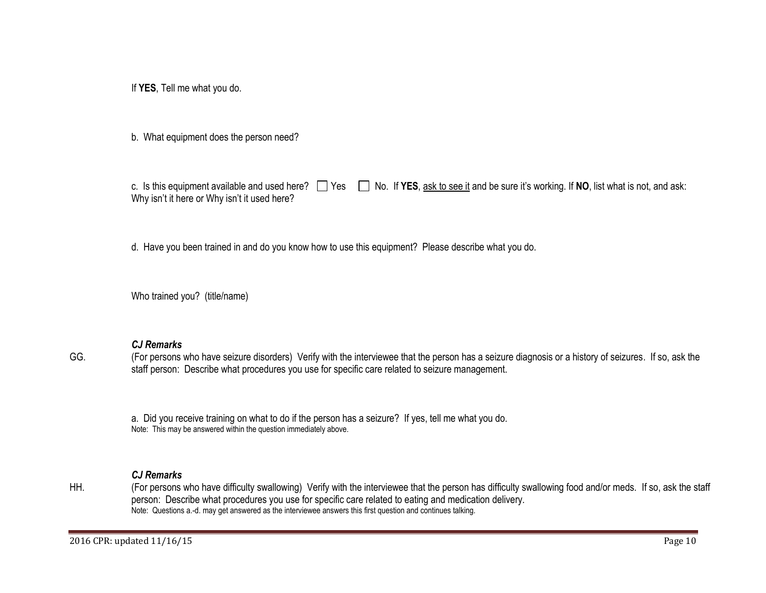If **YES**, Tell me what you do.

b. What equipment does the person need?

c. Is this equipment available and used here?  $\Box$  Yes  $\Box$  No. If YES, ask to see it and be sure it's working. If NO, list what is not, and ask: Why isn't it here or Why isn't it used here?

d. Have you been trained in and do you know how to use this equipment? Please describe what you do.

Who trained you? (title/name)

#### *CJ Remarks*

GG. (For persons who have seizure disorders) Verify with the interviewee that the person has a seizure diagnosis or a history of seizures. If so, ask the staff person: Describe what procedures you use for specific care related to seizure management.

a. Did you receive training on what to do if the person has a seizure? If yes, tell me what you do. Note: This may be answered within the question immediately above.

#### *CJ Remarks*

HH. (For persons who have difficulty swallowing) Verify with the interviewee that the person has difficulty swallowing food and/or meds. If so, ask the staff person: Describe what procedures you use for specific care related to eating and medication delivery. Note: Questions a.-d. may get answered as the interviewee answers this first question and continues talking.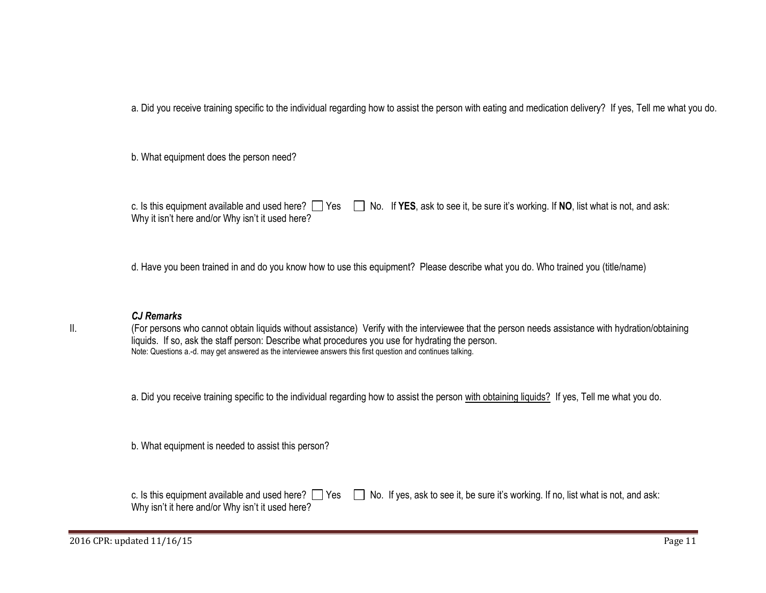a. Did you receive training specific to the individual regarding how to assist the person with eating and medication delivery? If yes, Tell me what you do.

b. What equipment does the person need?

|                                                  | c. Is this equipment available and used here? $\Box$ Yes $\Box$ No. If YES, ask to see it, be sure it's working. If NO, list what is not, and ask: |
|--------------------------------------------------|----------------------------------------------------------------------------------------------------------------------------------------------------|
| Why it isn't here and/or Why isn't it used here? |                                                                                                                                                    |

d. Have you been trained in and do you know how to use this equipment? Please describe what you do. Who trained you (title/name)

#### *CJ Remarks*

II. (For persons who cannot obtain liquids without assistance) Verify with the interviewee that the person needs assistance with hydration/obtaining liquids. If so, ask the staff person: Describe what procedures you use for hydrating the person. Note: Questions a.-d. may get answered as the interviewee answers this first question and continues talking.

a. Did you receive training specific to the individual regarding how to assist the person with obtaining liquids? If yes, Tell me what you do.

b. What equipment is needed to assist this person?

Why isn't it here and/or Why isn't it used here?

c. Is this equipment available and used here?  $\Box$  Yes  $\Box$  No. If yes, ask to see it, be sure it's working. If no, list what is not, and ask:

2016 CPR: updated 11/16/15 Page 11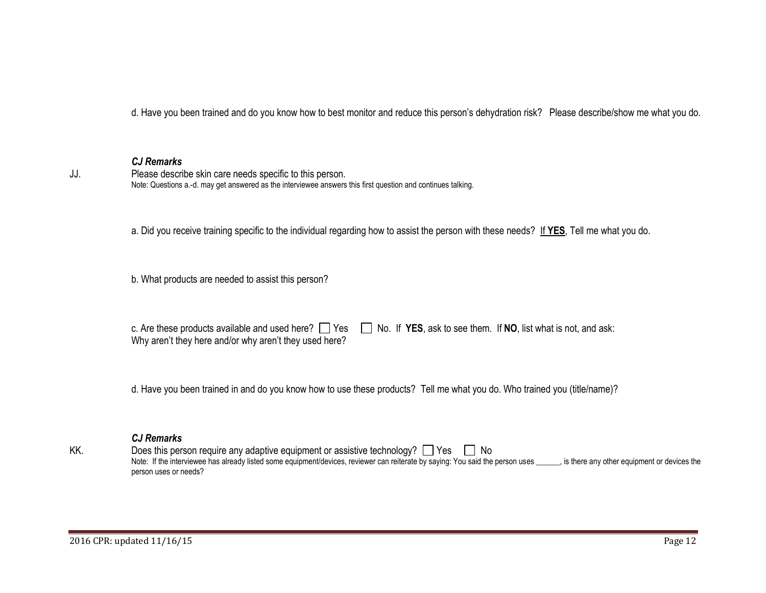d. Have you been trained and do you know how to best monitor and reduce this person's dehydration risk? Please describe/show me what you do.

#### *CJ Remarks*

JJ. Please describe skin care needs specific to this person. Note: Questions a.-d. may get answered as the interviewee answers this first question and continues talking.

a. Did you receive training specific to the individual regarding how to assist the person with these needs? If **YES**, Tell me what you do.

b. What products are needed to assist this person?

c. Are these products available and used here?  $\Box$  Yes  $\Box$  No. If **YES**, ask to see them. If **NO**, list what is not, and ask: Why aren't they here and/or why aren't they used here?

d. Have you been trained in and do you know how to use these products? Tell me what you do. Who trained you (title/name)?

#### *CJ Remarks*

KK. Does this person require any adaptive equipment or assistive technology?  $\Box$  Yes  $\Box$  No Note: If the interviewee has already listed some equipment/devices, reviewer can reiterate by saying: You said the person uses , is there any other equipment or devices the person uses or needs?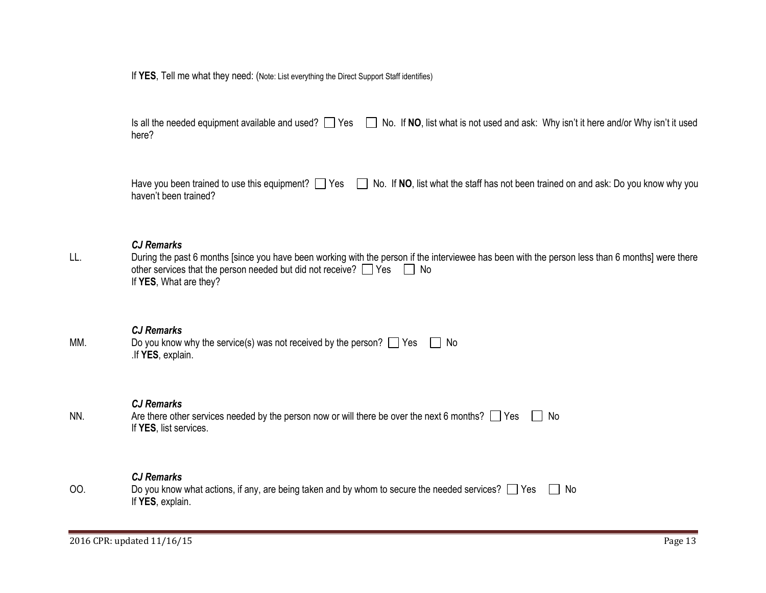If **YES**, Tell me what they need: (Note: List everything the Direct Support Staff identifies)

|       | Is all the needed equipment available and used? Ves and No. If NO, list what is not used and ask: Why isn't it here and/or Why isn't it used |
|-------|----------------------------------------------------------------------------------------------------------------------------------------------|
| here? |                                                                                                                                              |

|                       | Have you been trained to use this equipment? Ves No. If NO, list what the staff has not been trained on and ask: Do you know why you |
|-----------------------|--------------------------------------------------------------------------------------------------------------------------------------|
| haven't been trained? |                                                                                                                                      |

## *CJ Remarks*

LL. During the past 6 months [since you have been working with the person if the interviewee has been with the person less than 6 months] were there other services that the person needed but did not receive?  $\Box$  Yes  $\Box$  No If **YES**, What are they?

## *CJ Remarks*

| MM. | Do you know why the service(s) was not received by the person? $\Box$ Yes $\Box$ No |  |
|-----|-------------------------------------------------------------------------------------|--|
|     | .If YES, explain.                                                                   |  |

## *CJ Remarks*

| NN. | Are there other services needed by the person now or will there be over the next 6 months? $\Box$ Yes L | No |
|-----|---------------------------------------------------------------------------------------------------------|----|
|     | If YES, list services.                                                                                  |    |

## *CJ Remarks*

| 00 | Do you know what actions, if any, are being taken and by whom to secure the needed services? $\Box$ Yes | l No |
|----|---------------------------------------------------------------------------------------------------------|------|
|    | If YES, explain.                                                                                        |      |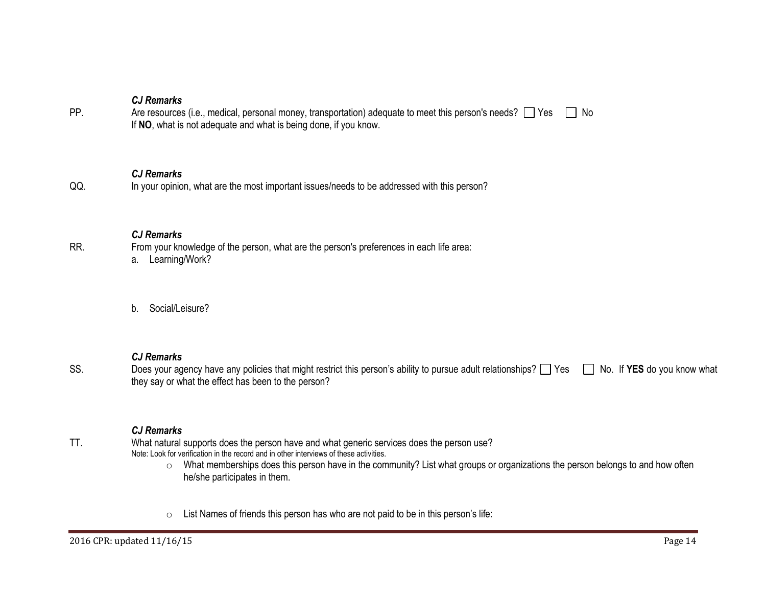PP. Are resources (i.e., medical, personal money, transportation) adequate to meet this person's needs?  $\Box$  Yes  $\Box$  No If **NO**, what is not adequate and what is being done, if you know.

#### *CJ Remarks*

QQ. In your opinion, what are the most important issues/needs to be addressed with this person?

#### *CJ Remarks*

RR. From your knowledge of the person, what are the person's preferences in each life area:

- a. Learning/Work?
- b. Social/Leisure?

#### *CJ Remarks*

SS. Does your agency have any policies that might restrict this person's ability to pursue adult relationships? Yes No. If **YES** do you know what they say or what the effect has been to the person?

#### *CJ Remarks*

- TT. What natural supports does the person have and what generic services does the person use? Note: Look for verification in the record and in other interviews of these activities.
	- o What memberships does this person have in the community? List what groups or organizations the person belongs to and how often he/she participates in them.
	- o List Names of friends this person has who are not paid to be in this person's life: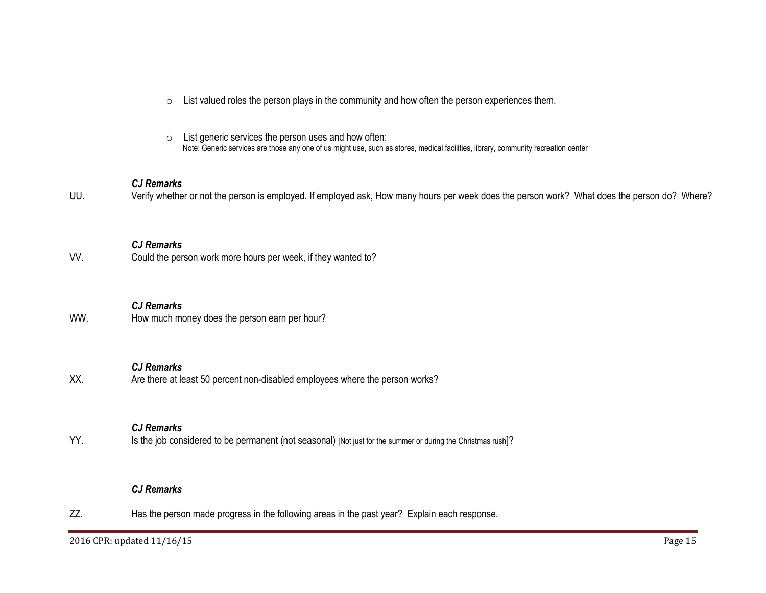| $\circ$ List valued roles the person plays in the community and how often the person experiences them. |  |  |
|--------------------------------------------------------------------------------------------------------|--|--|
|                                                                                                        |  |  |

o List generic services the person uses and how often: Note: Generic services are those any one of us might use, such as stores, medical facilities, library, community recreation center

## *CJ Remarks*

UU. Verify whether or not the person is employed. If employed ask, How many hours per week does the person work? What does the person do? Where?

VV. Could the person work more hours per week, if they wanted to?

# *CJ Remarks*

WW. How much money does the person earn per hour?

#### *CJ Remarks*

XX. Are there at least 50 percent non-disabled employees where the person works?

### *CJ Remarks*

YY. Is the job considered to be permanent (not seasonal) [Not just for the summer or during the Christmas rush]?

# *CJ Remarks*

ZZ. Has the person made progress in the following areas in the past year? Explain each response.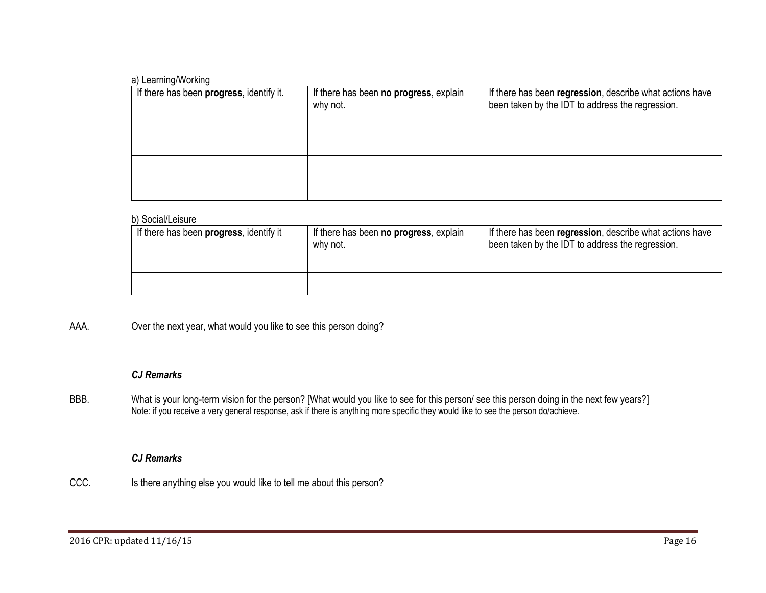## a) Learning/Working

| If there has been progress, identify it. | If there has been no progress, explain<br>why not. | If there has been regression, describe what actions have<br>been taken by the IDT to address the regression. |
|------------------------------------------|----------------------------------------------------|--------------------------------------------------------------------------------------------------------------|
|                                          |                                                    |                                                                                                              |
|                                          |                                                    |                                                                                                              |
|                                          |                                                    |                                                                                                              |
|                                          |                                                    |                                                                                                              |

#### b) Social/Leisure

| If there has been progress, identify it | If there has been <b>no progress</b> , explain<br>why not. | If there has been regression, describe what actions have<br>been taken by the IDT to address the regression. |
|-----------------------------------------|------------------------------------------------------------|--------------------------------------------------------------------------------------------------------------|
|                                         |                                                            |                                                                                                              |
|                                         |                                                            |                                                                                                              |

# AAA. Over the next year, what would you like to see this person doing?

## *CJ Remarks*

BBB. What is your long-term vision for the person? [What would you like to see for this person/ see this person doing in the next few years?] Note: if you receive a very general response, ask if there is anything more specific they would like to see the person do/achieve.

# *CJ Remarks*

CCC. Is there anything else you would like to tell me about this person?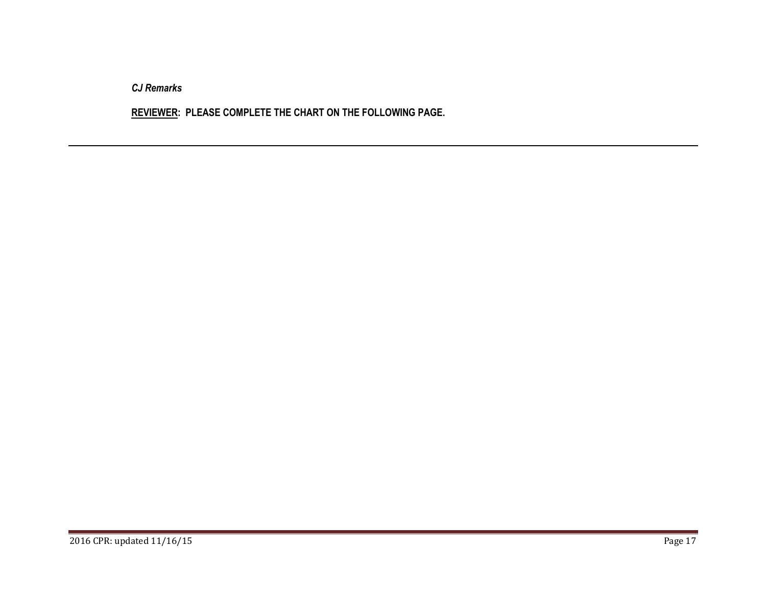**REVIEWER: PLEASE COMPLETE THE CHART ON THE FOLLOWING PAGE.**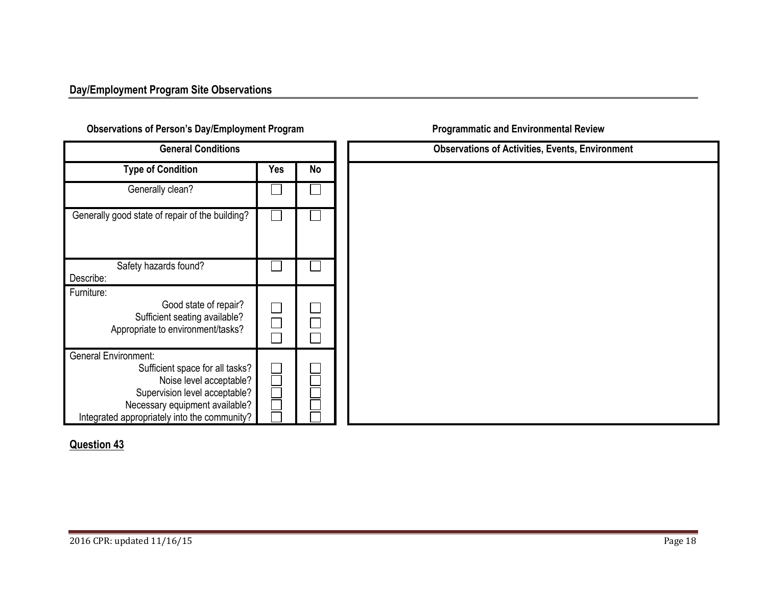# <span id="page-17-0"></span> **Observations of Person's Day/Employment Program Program Programmatic and Environmental Review**

| <b>General Conditions</b>                                                                                                                                                                                    |     |    |  |
|--------------------------------------------------------------------------------------------------------------------------------------------------------------------------------------------------------------|-----|----|--|
| <b>Type of Condition</b>                                                                                                                                                                                     | Yes | No |  |
| Generally clean?                                                                                                                                                                                             |     |    |  |
| Generally good state of repair of the building?                                                                                                                                                              |     |    |  |
| Safety hazards found?<br>Describe:                                                                                                                                                                           |     |    |  |
| Furniture:<br>Good state of repair?<br>Sufficient seating available?<br>Appropriate to environment/tasks?                                                                                                    |     |    |  |
| <b>General Environment:</b><br>Sufficient space for all tasks?<br>Noise level acceptable?<br>Supervision level acceptable?<br>Necessary equipment available?<br>Integrated appropriately into the community? |     |    |  |

| <b>General Conditions</b>                                                                                                              |     |        |
|----------------------------------------------------------------------------------------------------------------------------------------|-----|--------|
| Condition                                                                                                                              | Yes | No     |
| ly clean?                                                                                                                              |     |        |
| f repair of the building?                                                                                                              |     |        |
| ards found?                                                                                                                            |     |        |
| Good state of repair?<br>ent seating available?<br>to environment/tasks?                                                               |     | П<br>Ξ |
| ient space for all tasks?<br>Noise level acceptable?<br>vision level acceptable?<br>ry equipment available?<br>ely into the community? |     |        |

# **[Question 43](#page-21-2)**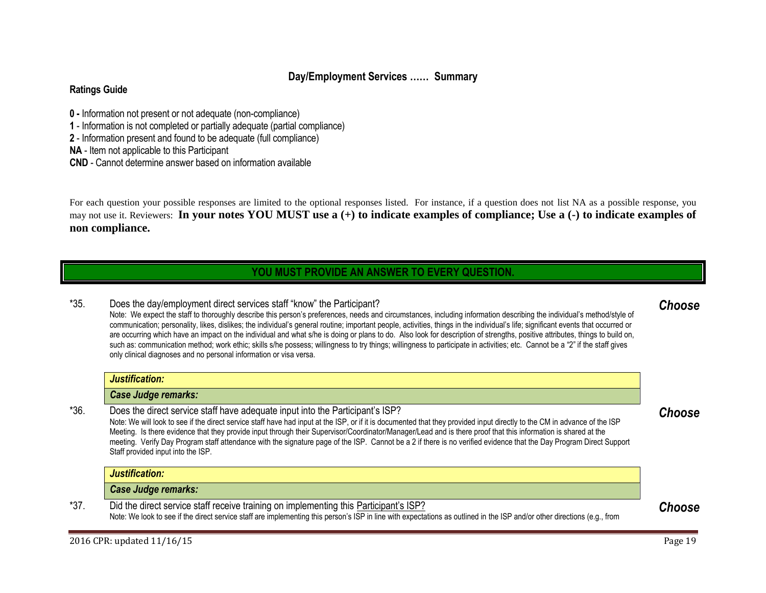# **Day/Employment Services …… Summary**

## **Ratings Guide**

- **0 -** Information not present or not adequate (non-compliance)
- **1** Information is not completed or partially adequate (partial compliance)
- **2** Information present and found to be adequate (full compliance)

**NA** - Item not applicable to this Participant

**CND** - Cannot determine answer based on information available

For each question your possible responses are limited to the optional responses listed. For instance, if a question does not list NA as a possible response, you may not use it. Reviewers: **In your notes YOU MUST use a (+) to indicate examples of compliance; Use a (-) to indicate examples of non compliance.**

# **YOU MUST PROVIDE AN ANSWER TO EVERY QUESTION.**

<span id="page-18-0"></span>\*35. Does the day/employment direct services staff "know" the Participant? Note: We expect the staff to thoroughly describe this person's preferences, needs and circumstances, including information describing the individual's method/style of communication; personality, likes, dislikes; the individual's general routine; important people, activities, things in the individual's life; significant events that occurred or are occurring which have an impact on the individual and what s/he is doing or plans to do. Also look for description of strengths, positive attributes, things to build on, such as: communication method; work ethic; skills s/he possess; willingness to try things; willingness to participate in activities; etc. Cannot be a "2" if the staff gives

only clinical diagnoses and no personal information or visa versa.

# *Justification: Case Judge remarks:*

\*36. Does the direct service staff have adequate input into the Participant's ISP? Note: We will look to see if the direct service staff have had input at the ISP, or if it is documented that they provided input directly to the CM in advance of the ISP Meeting. Is there evidence that they provide input through their Supervisor/Coordinator/Manager/Lead and is there proof that this information is shared at the meeting. Verify Day Program staff attendance with the signature page of the ISP. Cannot be a 2 if there is no verified evidence that the Day Program Direct Support Staff provided input into the ISP.

*Justification:* 

*Case Judge remarks:* 

\*37. Did the direct service staff receive training on implementing this Participant's ISP? Note: We look to see if the direct service staff are implementing this person's ISP in line with expectations as outlined in the ISP and/or other directions (e.g., from

# <span id="page-18-2"></span>*Choose*

# <span id="page-18-3"></span><span id="page-18-1"></span>*Choose*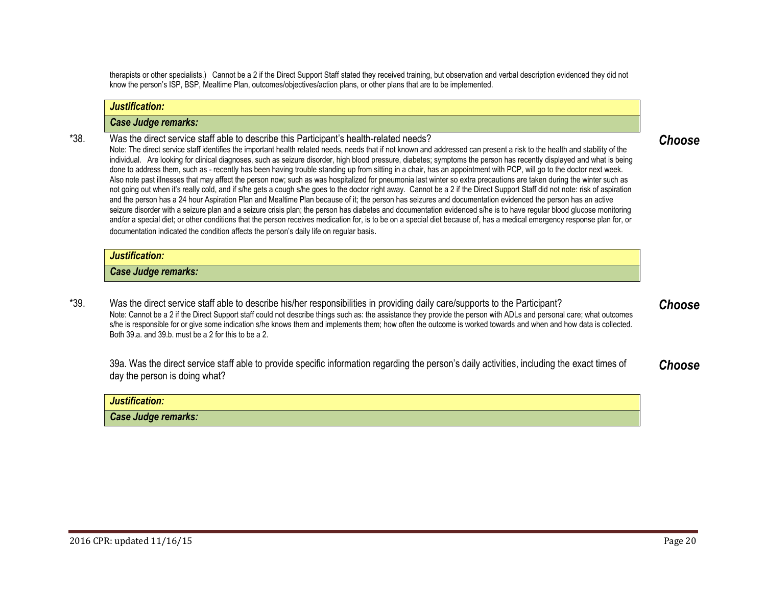therapists or other specialists.) Cannot be a 2 if the Direct Support Staff stated they received training, but observation and verbal description evidenced they did not know the person's ISP, BSP, Mealtime Plan, outcomes/objectives/action plans, or other plans that are to be implemented.

#### *Justification:*

#### *Case Judge remarks:*

\*38. Was the direct service staff able to describe this Participant's health-related needs? Note: The direct service staff identifies the important health related needs, needs that if not known and addressed can present a risk to the health and stability of the individual. Are looking for clinical diagnoses, such as seizure disorder, high blood pressure, diabetes; symptoms the person has recently displayed and what is being done to address them, such as - recently has been having trouble standing up from sitting in a chair, has an appointment with PCP, will go to the doctor next week. Also note past illnesses that may affect the person now; such as was hospitalized for pneumonia last winter so extra precautions are taken during the winter such as not going out when it's really cold, and if s/he gets a cough s/he goes to the doctor right away. Cannot be a 2 if the Direct Support Staff did not note: risk of aspiration and the person has a 24 hour Aspiration Plan and Mealtime Plan because of it; the person has seizures and documentation evidenced the person has an active seizure disorder with a seizure plan and a seizure crisis plan; the person has diabetes and documentation evidenced s/he is to have regular blood glucose monitoring and/or a special diet; or other conditions that the person receives medication for, is to be on a special diet because of, has a medical emergency response plan for, or

#### *Justification:*

#### *Case Judge remarks:*

documentation indicated the condition affects the person's daily life on regular basis.

\*39. Was the direct service staff able to describe his/her responsibilities in providing daily care/supports to the Participant? Note: Cannot be a 2 if the Direct Support staff could not describe things such as: the assistance they provide the person with ADLs and personal care; what outcomes s/he is responsible for or give some indication s/he knows them and implements them; how often the outcome is worked towards and when and how data is collected. Both 39.a. and 39.b. must be a 2 for this to be a 2.

39a. Was the direct service staff able to provide specific information regarding the person's daily activities, including the exact times of day the person is doing what? *Choose*

| Justification:      |  |
|---------------------|--|
| Case Judge remarks: |  |

# <span id="page-19-1"></span><span id="page-19-0"></span>*Choose*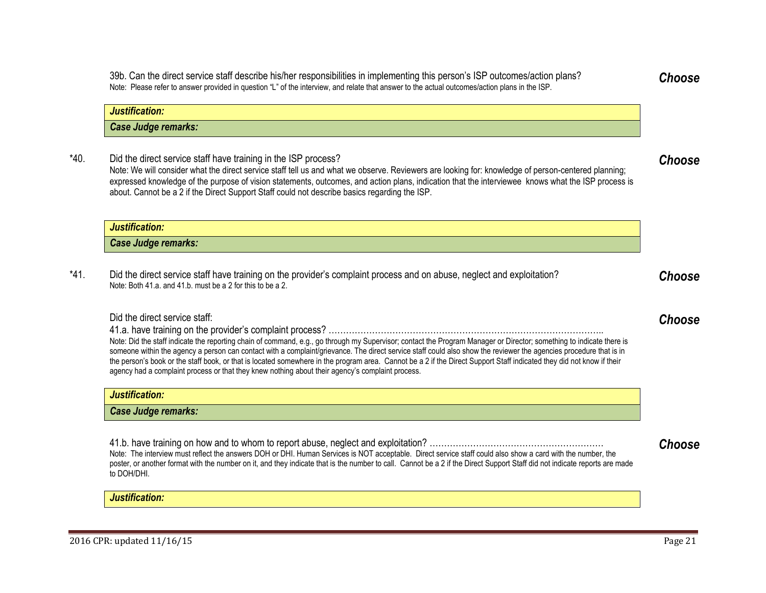\*40. Did the direct service staff have training in the ISP process? Note: We will consider what the direct service staff tell us and what we observe. Reviewers are looking for: knowledge of person-centered planning; expressed knowledge of the purpose of vision statements, outcomes, and action plans, indication that the interviewee knows what the ISP process is about. Cannot be a 2 if the Direct Support Staff could not describe basics regarding the ISP.

39b. Can the direct service staff describe his/her responsibilities in implementing this person's ISP outcomes/action plans? Note: Please refer to answer provided in question "L" of the interview, and relate that answer to the actual outcomes/action plans in the ISP.

| Justification:      |  |
|---------------------|--|
| Case Judge remarks: |  |

\*41. Did the direct service staff have training on the provider's complaint process and on abuse, neglect and exploitation? Note: Both 41.a. and 41.b. must be a 2 for this to be a 2.

#### Did the direct service staff:

*Justification:* 

*Case Judge remarks:* 

41.a. have training on the provider's complaint process? …………………………………………………………………………………..

Note: Did the staff indicate the reporting chain of command, e.g., go through my Supervisor; contact the Program Manager or Director; something to indicate there is someone within the agency a person can contact with a complaint/grievance. The direct service staff could also show the reviewer the agencies procedure that is in the person's book or the staff book, or that is located somewhere in the program area. Cannot be a 2 if the Direct Support Staff indicated they did not know if their agency had a complaint process or that they knew nothing about their agency's complaint process.

| Justification:      |
|---------------------|
| Case Judge remarks: |
|                     |

41.b. have training on how and to whom to report abuse, neglect and exploitation? …………………………………………………… Note: The interview must reflect the answers DOH or DHI. Human Services is NOT acceptable. Direct service staff could also show a card with the number, the poster, or another format with the number on it, and they indicate that is the number to call. Cannot be a 2 if the Direct Support Staff did not indicate reports are made to DOH/DHI.

*Justification:* 

# <span id="page-20-1"></span>*Choose*

*Choose*

<span id="page-20-0"></span>*Choose*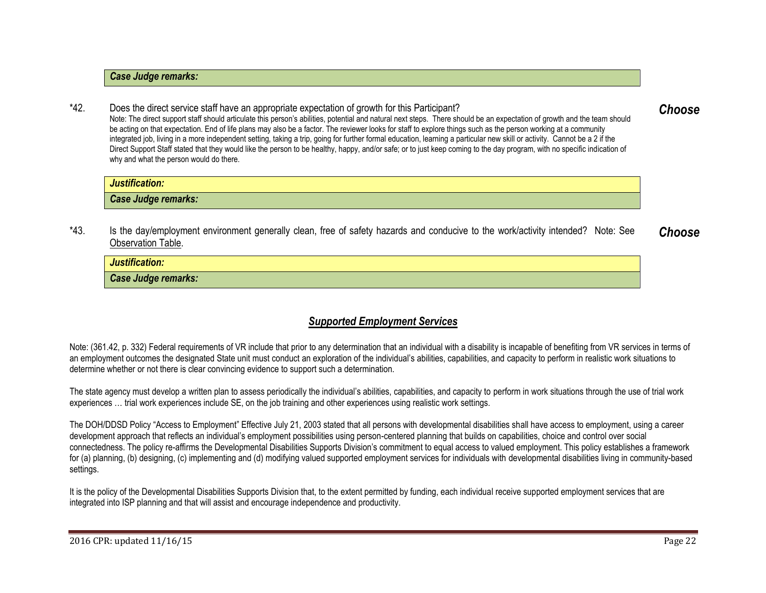#### *Case Judge remarks:*

\*42. Does the direct service staff have an appropriate expectation of growth for this Participant? Note: The direct support staff should articulate this person's abilities, potential and natural next steps. There should be an expectation of growth and the team should be acting on that expectation. End of life plans may also be a factor. The reviewer looks for staff to explore things such as the person working at a community integrated job, living in a more independent setting, taking a trip, going for further formal education, learning a particular new skill or activity. Cannot be a 2 if the Direct Support Staff stated [that](#page-21-0) they would like the person to be healthy, happy, and/or safe; or to just keep coming to the day program, with no specific indication of why and what the person would do there. *Choose*

| Justification:      |  |
|---------------------|--|
| Case Judge remarks: |  |

\*43. Is the day/employment environment generally clean, free of safety hazards and conducive to the work/activity intended?Note: See [Observation Table.](#page-17-0) *Choose*

*Justification: Case Judge remarks:* 

# <span id="page-21-2"></span><span id="page-21-1"></span>*Supported Employment Services*

<span id="page-21-0"></span>Note: (361.42, p. 332) Federal requirements of VR include that prior to any determination that an individual with a disability is incapable of benefiting from VR services in terms of an employment outcomes the designated State unit must conduct an exploration of the individual's abilities, capabilities, and capacity to perform in realistic work situations to determine whether or not there is clear convincing evidence to support such a determination.

The state agency must develop a written plan to assess periodically the individual's abilities, capabilities, and capacity to perform in work situations through the use of trial work experiences … trial work experiences include SE, on the job training and other experiences using realistic work settings.

The DOH/DDSD Policy "Access to Employment" Effective July 21, 2003 stated that all persons with developmental disabilities shall have access to employment, using a career development approach that reflects an individual's employment possibilities using person-centered planning that builds on capabilities, choice and control over social connectedness. The policy re-affirms the Developmental Disabilities Supports Division's commitment to equal access to valued employment. This policy establishes a framework for (a) planning, (b) designing, (c) implementing and (d) modifying valued supported employment services for individuals with developmental disabilities living in community-based settings.

It is the policy of the Developmental Disabilities Supports Division that, to the extent permitted by funding, each individual receive supported employment services that are integrated into ISP planning and that will assist and encourage independence and productivity.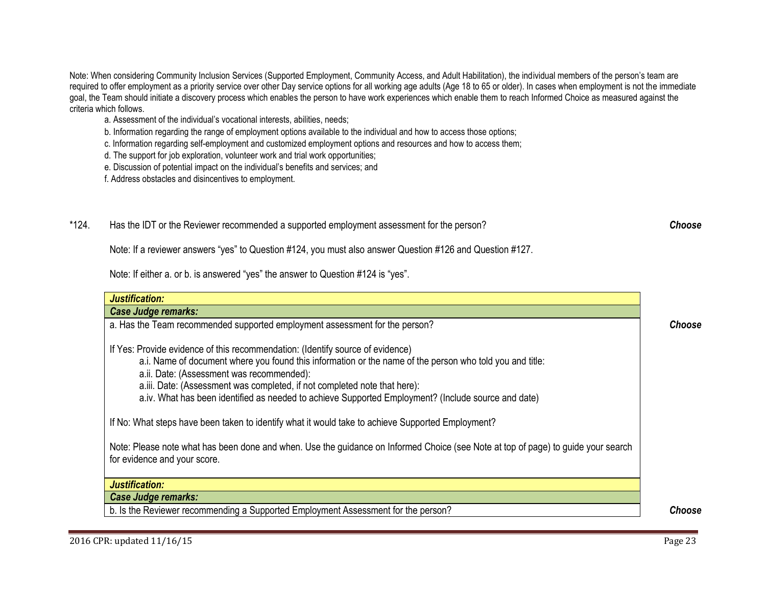Note: When considering Community Inclusion Services (Supported Employment, Community Access, and Adult Habilitation), the individual members of the person's team are required to offer employment as a priority service over other Day service options for all working age adults (Age 18 to 65 or older). In cases when employment is not the immediate goal, the Team should initiate a discovery process which enables the person to have work experiences which enable them to reach Informed Choice as measured against the criteria which follows.

- a. Assessment of the individual's vocational interests, abilities, needs;
- b. Information regarding the range of employment options available to the individual and how to access those options;
- c. Information regarding self-employment and customized employment options and resources and how to access them;
- d. The support for job exploration, volunteer work and trial work opportunities;
- e. Discussion of potential impact on the individual's benefits and services; and
- f. Address obstacles and disincentives to employment.
- \*124. Has the IDT or the Reviewer recommended a supported employment assessment for the person?

<span id="page-22-0"></span>Note: If a reviewer answers "yes" to Question #124, you must also answer Question #126 and Question #127.

Note: If either a. or b. is answered "yes" the answer to Question #124 is "yes".

| Justification:                                                                                                                                                                                                                                                                                                                                                                                                              |        |
|-----------------------------------------------------------------------------------------------------------------------------------------------------------------------------------------------------------------------------------------------------------------------------------------------------------------------------------------------------------------------------------------------------------------------------|--------|
| <b>Case Judge remarks:</b>                                                                                                                                                                                                                                                                                                                                                                                                  |        |
| a. Has the Team recommended supported employment assessment for the person?                                                                                                                                                                                                                                                                                                                                                 | Choose |
| If Yes: Provide evidence of this recommendation: (Identify source of evidence)<br>a.i. Name of document where you found this information or the name of the person who told you and title:<br>a.ii. Date: (Assessment was recommended):<br>a.iii. Date: (Assessment was completed, if not completed note that here):<br>a.iv. What has been identified as needed to achieve Supported Employment? (Include source and date) |        |
| If No: What steps have been taken to identify what it would take to achieve Supported Employment?                                                                                                                                                                                                                                                                                                                           |        |
| Note: Please note what has been done and when. Use the guidance on Informed Choice (see Note at top of page) to guide your search<br>for evidence and your score.                                                                                                                                                                                                                                                           |        |
| Justification:                                                                                                                                                                                                                                                                                                                                                                                                              |        |
| <b>Case Judge remarks:</b>                                                                                                                                                                                                                                                                                                                                                                                                  |        |
| b. Is the Reviewer recommending a Supported Employment Assessment for the person?                                                                                                                                                                                                                                                                                                                                           | Choose |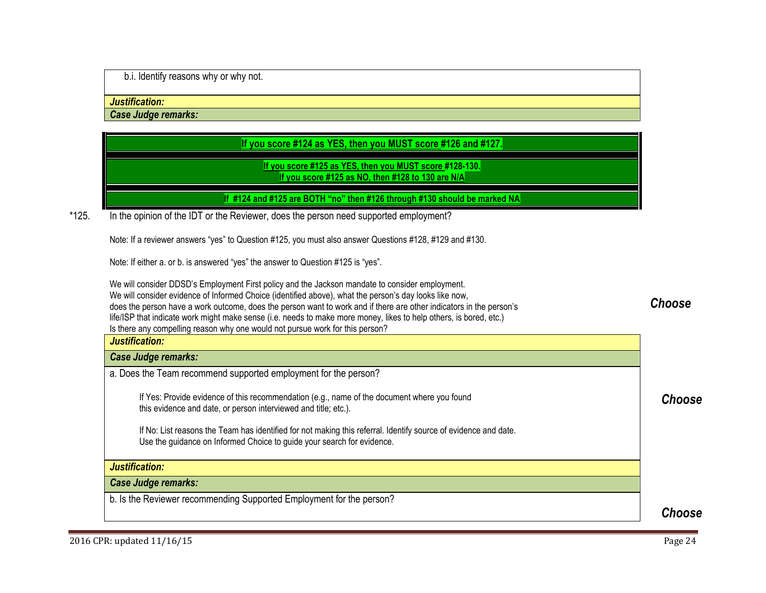b.i. Identify reasons why or why not.

#### *Justification:*

*Case Judge remarks:*

# **If you score #124 as YES, then you MUST score #126 and #127.**

# <span id="page-23-0"></span>**If you score #125 as YES, then you MUST score #128-130. If you score #125 as NO, then #128 to 130 are N/A**

# **If #124 and #125 are BOTH "no" then #126 through #130 should be marked NA**

\*125. In the opinion of the IDT or the Reviewer, does the person need supported employment?

Note: If a reviewer answers "yes" to Question #125, you must also answer Questions #128, #129 and #130.

Note: If either a. or b. is answered "yes" the answer to Question #125 is "yes".

We will consider DDSD's Employment First policy and the Jackson mandate to consider employment. We will consider evidence of Informed Choice (identified above), what the person's day looks like now, does the person have a work outcome, does the person want to work and if there are other indicators in the person's life/ISP that indicate work might make sense (i.e. needs to make more money, likes to help others, is bored, etc.) Is there any compelling reason why one would not pursue work for this person? *Justification:* 

# *Case Judge remarks:*

a. Does the Team recommend supported employment for the person?

If Yes: Provide evidence of this recommendation (e.g., name of the document where you found this evidence and date, or person interviewed and title; etc.).

If No: List reasons the Team has identified for not making this referral. Identify source of evidence and date. Use the guidance on Informed Choice to guide your search for evidence.

# *Justification:*

*Case Judge remarks:* 

b. Is the Reviewer recommending Supported Employment for the person?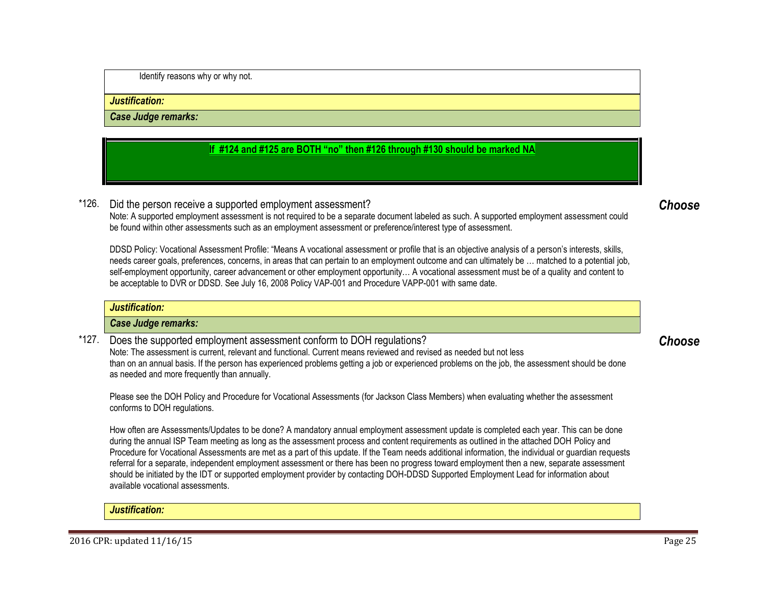Identify reasons why or why not.

#### *Justification:*

*Case Judge remarks:* 

# **If #124 and #125 are BOTH "no" then #126 through #130 should be marked NA**

\*126. Did the person receive a supported employment assessment?

Note: A supported employment assessment is not required to be a separate document labeled as such. A supported employment assessment could be found within other assessments such as an employment assessment or preference/interest type of assessment.

DDSD Policy: Vocational Assessment Profile: "Means A vocational assessment or profile that is an objective analysis of a person's interests, skills, needs career goals, preferences, concerns, in areas that can pertain to an employment outcome and can ultimately be … matched to a potential job, self-employment opportunity, career advancement or other employment opportunity… A vocational assessment must be of a quality and content to be acceptable to DVR or DDSD. See July 16, 2008 Policy VAP-001 and Procedure VAPP-001 with same date.

|       | Justification:                                                                                                                                                                             |        |
|-------|--------------------------------------------------------------------------------------------------------------------------------------------------------------------------------------------|--------|
|       | Case Judge remarks:                                                                                                                                                                        |        |
| *127. | Does the supported employment assessment conform to DOH regulations?<br>lete: The casesement is surrent relevant and functional Current means reviewed and reviewed as needed but not less | Choose |

Note: The assessment is current, relevant and functional. Current means reviewed and revised as needed but not less than on an annual basis. If the person has experienced problems getting a job or experienced problems on the job, the assessment should be done as needed and more frequently than annually.

Please see the DOH Policy and Procedure for Vocational Assessments (for Jackson Class Members) when evaluating whether the assessment conforms to DOH regulations.

How often are Assessments/Updates to be done? A mandatory annual employment assessment update is completed each year. This can be done during the annual ISP Team meeting as long as the assessment process and content requirements as outlined in the attached DOH Policy and Procedure for Vocational Assessments are met as a part of this update. If the Team needs additional information, the individual or guardian requests referral for a separate, independent employment assessment or there has been no progress toward employment then a new, separate assessment should be initiated by the IDT or supported employment provider by contacting DOH-DDSD Supported Employment Lead for information about available vocational assessments.

*Justification:* 

<span id="page-24-1"></span><span id="page-24-0"></span>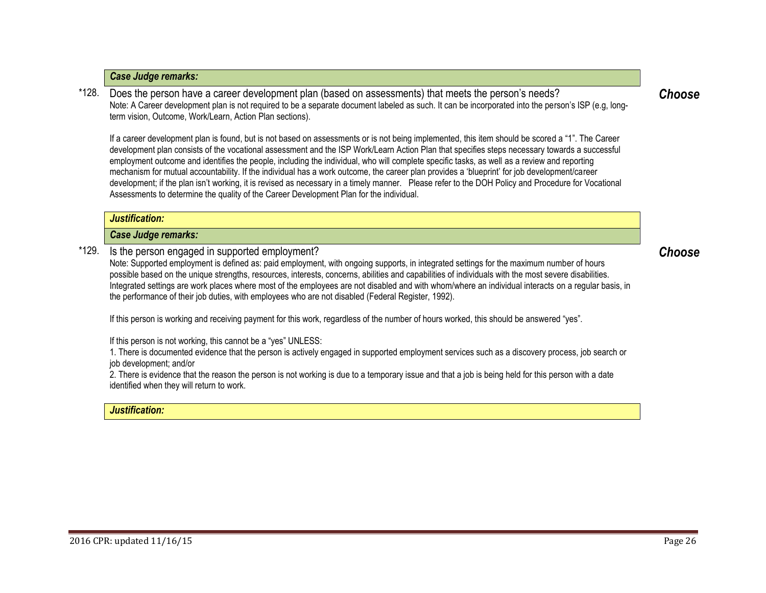# *Case Judge remarks:*

\*128. Does the person have a career development plan (based on assessments) that meets the person's needs? Note: A Career development plan is not required to be a separate document labeled as such. It can be incorporated into the person's ISP (e.g, longterm vision, Outcome, Work/Learn, Action Plan sections).

If a career development plan is found, but is not based on assessments or is not being implemented, this item should be scored a "1". The Career development plan consists of the vocational assessment and the ISP Work/Learn Action Plan that specifies steps necessary towards a successful employment outcome and identifies the people, including the individual, who will complete specific tasks, as well as a review and reporting mechanism for mutual accountability. If the individual has a work outcome, the career plan provides a 'blueprint' for job development/career development; if the plan isn't working, it is revised as necessary in a timely manner. Please refer to the DOH Policy and Procedure for Vocational Assessments to determine the quality of the Career Development Plan for the individual.

#### *Justification:*

#### *Case Judge remarks:*

\*129. Is the person engaged in supported employment?

Note: Supported employment is defined as: paid employment, with ongoing supports, in integrated settings for the maximum number of hours possible based on the unique strengths, resources, interests, concerns, abilities and capabilities of individuals with the most severe disabilities. Integrated settings are work places where most of the employees are not disabled and with whom/where an individual interacts on a regular basis, in the performance of their job duties, with employees who are not disabled (Federal Register, 1992).

If this person is working and receiving payment for this work, regardless of the number of hours worked, this should be answered "yes".

If this person is not working, this cannot be a "yes" UNLESS:

1. There is documented evidence that the person is actively engaged in supported employment services such as a discovery process, job search or job development; and/or

2. There is evidence that the reason the person is not working is due to a temporary issue and that a job is being held for this person with a date identified when they will return to work.

#### *Justification:*

<span id="page-25-1"></span><span id="page-25-0"></span>*Choose*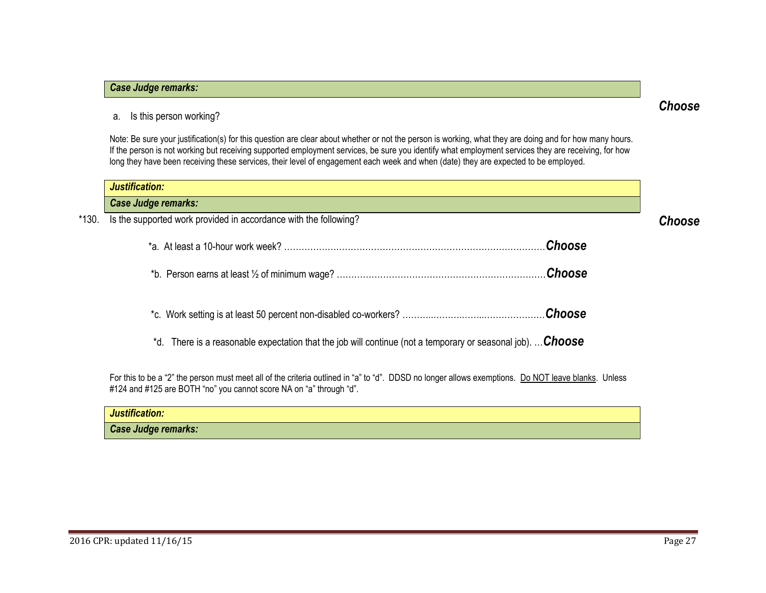## *Case Judge remarks:*

## a. Is this person working?

<span id="page-26-0"></span>Note: Be sure your justification(s) for this question are clear about whether or not the person is working, what they are doing and for how many hours. If the person is not working but receiving supported employment services, be sure you identify what employment services they are receiving, for how long they have been receiving these services, their level of engagement each week and when (date) they are expected to be employed.

|       | Justification:                                                                                              |        |
|-------|-------------------------------------------------------------------------------------------------------------|--------|
|       | Case Judge remarks:                                                                                         |        |
| *130. | Is the supported work provided in accordance with the following?                                            | Choose |
|       | Choose                                                                                                      |        |
|       | <b>Choose</b>                                                                                               |        |
|       |                                                                                                             |        |
|       | *d. There is a reasonable expectation that the job will continue (not a temporary or seasonal job).  Choose |        |

For this to be a "2" the person must meet all of the criteria outlined in "a" to "d". DDSD no longer allows exemptions. Do NOT leave blanks. Unless #124 and #125 are BOTH "no" you cannot score NA on "a" through "d".

| Justification:             |  |
|----------------------------|--|
| <b>Case Judge remarks:</b> |  |